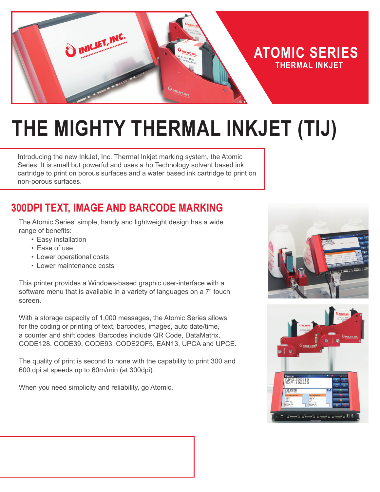

# **THE MIGHTY THERMAL INKJET (TIJ)**

Introducing the new InkJet, Inc. Thermal Inkjet marking system, the Atomic Series. It is small but powerful and uses a hp Technology solvent based ink cartridge to print on porous surfaces and a water based ink cartridge to print on non-porous surfaces.

## **300DPI TEXT, IMAGE AND BARCODE MARKING**

The Atomic Series' simple, handy and lightweight design has a wide range of benefits:

- Easy installation
- Ease of use
- Lower operational costs
- Lower maintenance costs

This printer provides a Windows-based graphic user-interface with a software menu that is available in a variety of languages on a 7" touch screen.

With a storage capacity of 1,000 messages, the Atomic Series allows for the coding or printing of text, barcodes, images, auto date/time, a counter and shift codes. Barcodes include QR Code, DataMatrix, CODE128, CODE39, CODE93, CODE2OF5, EAN13, UPCA and UPCE.

The quality of print is second to none with the capability to print 300 and 600 dpi at speeds up to 60m/min (at 300dpi).

When you need simplicity and reliability, go Atomic.